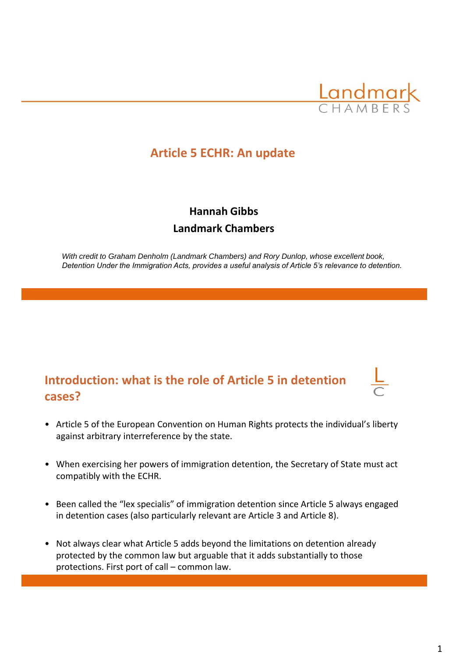

# **Article 5 ECHR: An update**

# **Hannah Gibbs Landmark Chambers**

*With credit to Graham Denholm (Landmark Chambers) and Rory Dunlop, whose excellent book, Detention Under the Immigration Acts, provides a useful analysis of Article 5's relevance to detention.*

# **Introduction: what is the role of Article 5 in detention cases?**

- Article 5 of the European Convention on Human Rights protects the individual's liberty against arbitrary interreference by the state.
- When exercising her powers of immigration detention, the Secretary of State must act compatibly with the ECHR.
- Been called the "lex specialis" of immigration detention since Article 5 always engaged in detention cases (also particularly relevant are Article 3 and Article 8).
- Not always clear what Article 5 adds beyond the limitations on detention already protected by the common law but arguable that it adds substantially to those protections. First port of call – common law.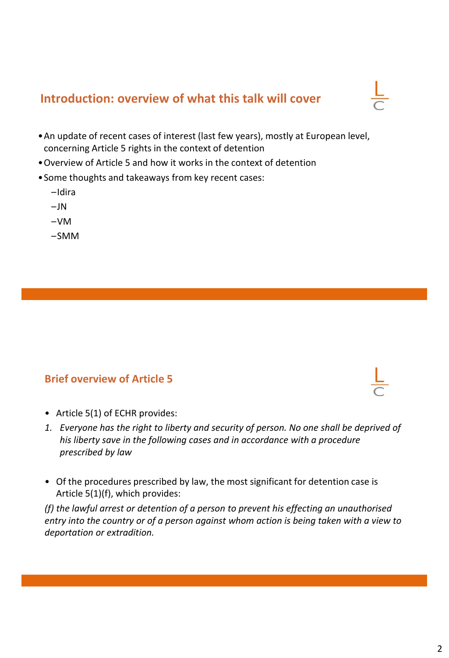# **Introduction: overview of what this talk will cover**

- •An update of recent cases of interest (last few years), mostly at European level, concerning Article 5 rights in the context of detention
- •Overview of Article 5 and how it works in the context of detention
- •Some thoughts and takeaways from key recent cases:
	- –Idira
	- $-JN$
	- –VM
	- –SMM

#### **Brief overview of Article 5**

- Article 5(1) of ECHR provides:
- *1. Everyone has the right to liberty and security of person. No one shall be deprived of his liberty save in the following cases and in accordance with a procedure prescribed by law*
- Of the procedures prescribed by law, the most significant for detention case is Article 5(1)(f), which provides:

*(f) the lawful arrest or detention of a person to prevent his effecting an unauthorised entry into the country or of a person against whom action is being taken with a view to deportation or extradition.*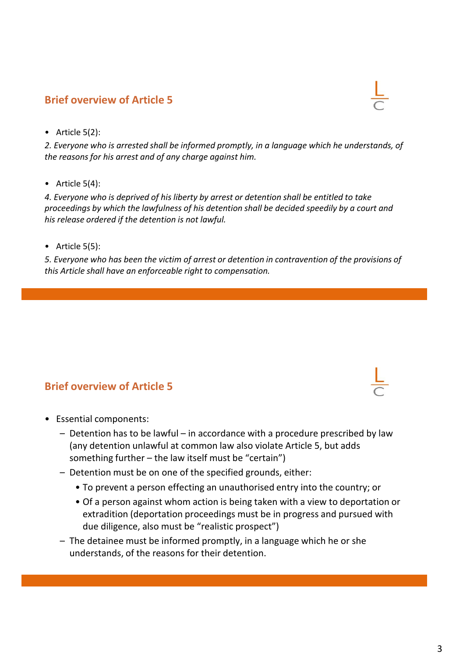# **Brief overview of Article 5**

• Article 5(2):

*2. Everyone who is arrested shall be informed promptly, in a language which he understands, of the reasons for his arrest and of any charge against him.*

• Article  $5(4)$ :

*4. Everyone who is deprived of his liberty by arrest or detention shall be entitled to take proceedings by which the lawfulness of his detention shall be decided speedily by a court and his release ordered if the detention is not lawful.*

• Article 5(5):

*5. Everyone who has been the victim of arrest or detention in contravention of the provisions of this Article shall have an enforceable right to compensation.*

#### **Brief overview of Article 5**

- Essential components:
	- Detention has to be lawful in accordance with a procedure prescribed by law (any detention unlawful at common law also violate Article 5, but adds something further – the law itself must be "certain")
	- Detention must be on one of the specified grounds, either:
		- To prevent a person effecting an unauthorised entry into the country; or
		- Of a person against whom action is being taken with a view to deportation or extradition (deportation proceedings must be in progress and pursued with due diligence, also must be "realistic prospect")
	- The detainee must be informed promptly, in a language which he or she understands, of the reasons for their detention.



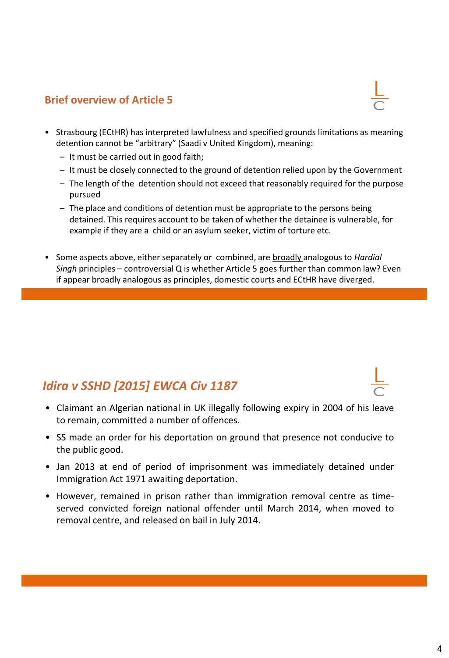#### **Brief overview of Article 5**

- Strasbourg (ECtHR) has interpreted lawfulness and specified grounds limitations as meaning detention cannot be "arbitrary" (Saadi v United Kingdom), meaning:
	- It must be carried out in good faith;
	- It must be closely connected to the ground of detention relied upon by the Government
	- The length of the detention should not exceed that reasonably required for the purpose pursued
	- The place and conditions of detention must be appropriate to the persons being detained. This requires account to be taken of whether the detainee is vulnerable, for example if they are a child or an asylum seeker, victim of torture etc.
- Some aspects above, either separately or combined, are broadly analogous to *Hardial Singh* principles – controversial Q is whether Article 5 goes further than common law? Even if appear broadly analogous as principles, domestic courts and ECtHR have diverged.

# *Idira v SSHD [2015] EWCA Civ 1187*

- Claimant an Algerian national in UK illegally following expiry in 2004 of his leave to remain, committed a number of offences.
- SS made an order for his deportation on ground that presence not conducive to the public good.
- Jan 2013 at end of period of imprisonment was immediately detained under Immigration Act 1971 awaiting deportation.
- However, remained in prison rather than immigration removal centre as timeserved convicted foreign national offender until March 2014, when moved to removal centre, and released on bail in July 2014.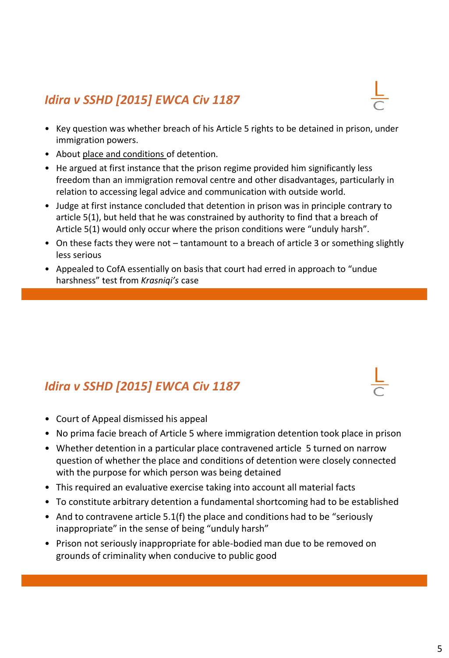# *Idira v SSHD [2015] EWCA Civ 1187*

- Key question was whether breach of his Article 5 rights to be detained in prison, under immigration powers.
- About place and conditions of detention.
- He argued at first instance that the prison regime provided him significantly less freedom than an immigration removal centre and other disadvantages, particularly in relation to accessing legal advice and communication with outside world.
- Judge at first instance concluded that detention in prison was in principle contrary to article 5(1), but held that he was constrained by authority to find that a breach of Article 5(1) would only occur where the prison conditions were "unduly harsh".
- On these facts they were not tantamount to a breach of article 3 or something slightly less serious
- Appealed to CofA essentially on basis that court had erred in approach to "undue harshness" test from *Krasniqi's* case

# *Idira v SSHD [2015] EWCA Civ 1187*

- Court of Appeal dismissed his appeal
- No prima facie breach of Article 5 where immigration detention took place in prison
- Whether detention in a particular place contravened article 5 turned on narrow question of whether the place and conditions of detention were closely connected with the purpose for which person was being detained
- This required an evaluative exercise taking into account all material facts
- To constitute arbitrary detention a fundamental shortcoming had to be established
- And to contravene article  $5.1(f)$  the place and conditions had to be "seriously inappropriate" in the sense of being "unduly harsh"
- Prison not seriously inappropriate for able-bodied man due to be removed on grounds of criminality when conducive to public good



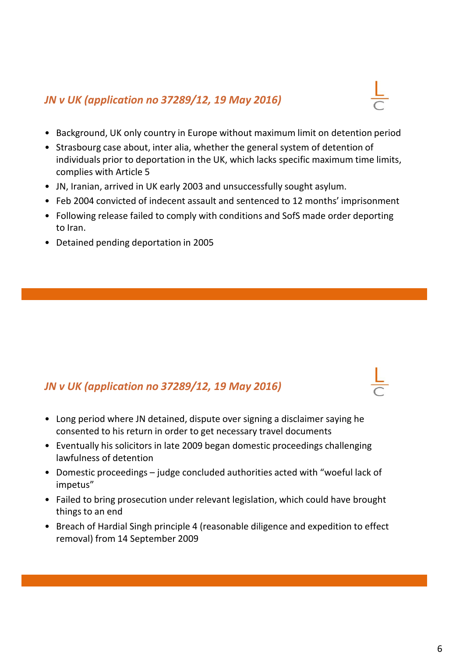#### *JN v UK (application no 37289/12, 19 May 2016)*

- 
- Background, UK only country in Europe without maximum limit on detention period
- Strasbourg case about, inter alia, whether the general system of detention of individuals prior to deportation in the UK, which lacks specific maximum time limits, complies with Article 5
- JN, Iranian, arrived in UK early 2003 and unsuccessfully sought asylum.
- Feb 2004 convicted of indecent assault and sentenced to 12 months' imprisonment
- Following release failed to comply with conditions and SofS made order deporting to Iran.
- Detained pending deportation in 2005

### *JN v UK (application no 37289/12, 19 May 2016)*

- Long period where JN detained, dispute over signing a disclaimer saying he consented to his return in order to get necessary travel documents
- Eventually his solicitors in late 2009 began domestic proceedings challenging lawfulness of detention
- Domestic proceedings judge concluded authorities acted with "woeful lack of impetus"
- Failed to bring prosecution under relevant legislation, which could have brought things to an end
- Breach of Hardial Singh principle 4 (reasonable diligence and expedition to effect removal) from 14 September 2009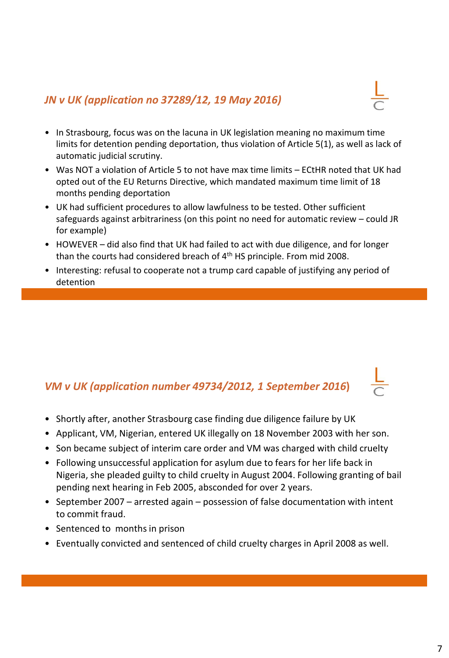#### *JN v UK (application no 37289/12, 19 May 2016)*



- In Strasbourg, focus was on the lacuna in UK legislation meaning no maximum time limits for detention pending deportation, thus violation of Article 5(1), as well as lack of automatic judicial scrutiny.
- Was NOT a violation of Article 5 to not have max time limits ECtHR noted that UK had opted out of the EU Returns Directive, which mandated maximum time limit of 18 months pending deportation
- UK had sufficient procedures to allow lawfulness to be tested. Other sufficient safeguards against arbitrariness (on this point no need for automatic review – could JR for example)
- HOWEVER did also find that UK had failed to act with due diligence, and for longer than the courts had considered breach of 4th HS principle. From mid 2008.
- Interesting: refusal to cooperate not a trump card capable of justifying any period of detention

### *VM v UK (application number 49734/2012, 1 September 2016***)**

- Shortly after, another Strasbourg case finding due diligence failure by UK
- Applicant, VM, Nigerian, entered UK illegally on 18 November 2003 with her son.
- Son became subject of interim care order and VM was charged with child cruelty
- Following unsuccessful application for asylum due to fears for her life back in Nigeria, she pleaded guilty to child cruelty in August 2004. Following granting of bail pending next hearing in Feb 2005, absconded for over 2 years.
- September 2007 arrested again possession of false documentation with intent to commit fraud.
- Sentenced to months in prison
- Eventually convicted and sentenced of child cruelty charges in April 2008 as well.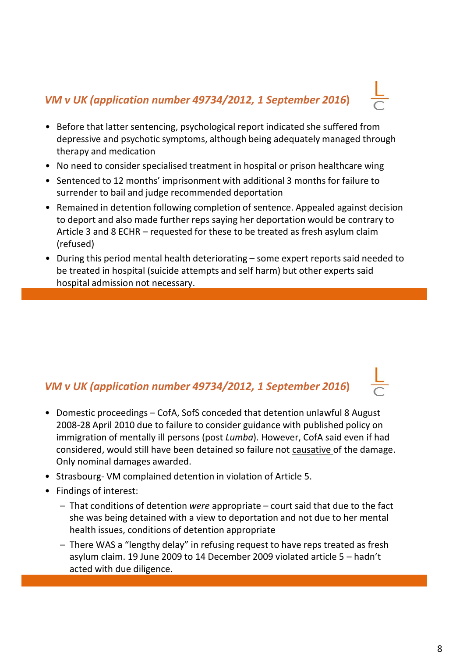# *VM v UK (application number 49734/2012, 1 September 2016***)**

- Before that latter sentencing, psychological report indicated she suffered from depressive and psychotic symptoms, although being adequately managed through therapy and medication
- No need to consider specialised treatment in hospital or prison healthcare wing
- Sentenced to 12 months' imprisonment with additional 3 months for failure to surrender to bail and judge recommended deportation
- Remained in detention following completion of sentence. Appealed against decision to deport and also made further reps saying her deportation would be contrary to Article 3 and 8 ECHR – requested for these to be treated as fresh asylum claim (refused)
- During this period mental health deteriorating some expert reports said needed to be treated in hospital (suicide attempts and self harm) but other experts said hospital admission not necessary.

### *VM v UK (application number 49734/2012, 1 September 2016***)**

- Domestic proceedings CofA, SofS conceded that detention unlawful 8 August 2008-28 April 2010 due to failure to consider guidance with published policy on immigration of mentally ill persons (post *Lumba*). However, CofA said even if had considered, would still have been detained so failure not causative of the damage. Only nominal damages awarded.
- Strasbourg- VM complained detention in violation of Article 5.
- Findings of interest:
	- That conditions of detention *were* appropriate court said that due to the fact she was being detained with a view to deportation and not due to her mental health issues, conditions of detention appropriate
	- There WAS a "lengthy delay" in refusing request to have reps treated as fresh asylum claim. 19 June 2009 to 14 December 2009 violated article 5 – hadn't acted with due diligence.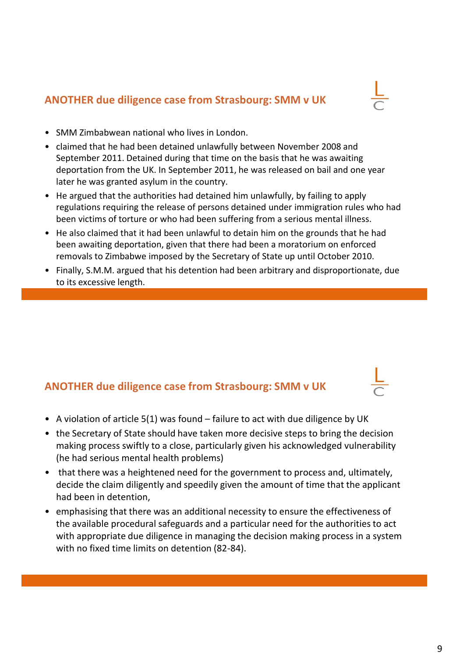#### **ANOTHER due diligence case from Strasbourg: SMM v UK**

- SMM Zimbabwean national who lives in London.
- claimed that he had been detained unlawfully between November 2008 and September 2011. Detained during that time on the basis that he was awaiting deportation from the UK. In September 2011, he was released on bail and one year later he was granted asylum in the country.
- He argued that the authorities had detained him unlawfully, by failing to apply regulations requiring the release of persons detained under immigration rules who had been victims of torture or who had been suffering from a serious mental illness.
- He also claimed that it had been unlawful to detain him on the grounds that he had been awaiting deportation, given that there had been a moratorium on enforced removals to Zimbabwe imposed by the Secretary of State up until October 2010.
- Finally, S.M.M. argued that his detention had been arbitrary and disproportionate, due to its excessive length.

# **ANOTHER due diligence case from Strasbourg: SMM v UK**

- A violation of article 5(1) was found failure to act with due diligence by UK
- the Secretary of State should have taken more decisive steps to bring the decision making process swiftly to a close, particularly given his acknowledged vulnerability (he had serious mental health problems)
- that there was a heightened need for the government to process and, ultimately, decide the claim diligently and speedily given the amount of time that the applicant had been in detention,
- emphasising that there was an additional necessity to ensure the effectiveness of the available procedural safeguards and a particular need for the authorities to act with appropriate due diligence in managing the decision making process in a system with no fixed time limits on detention (82-84).